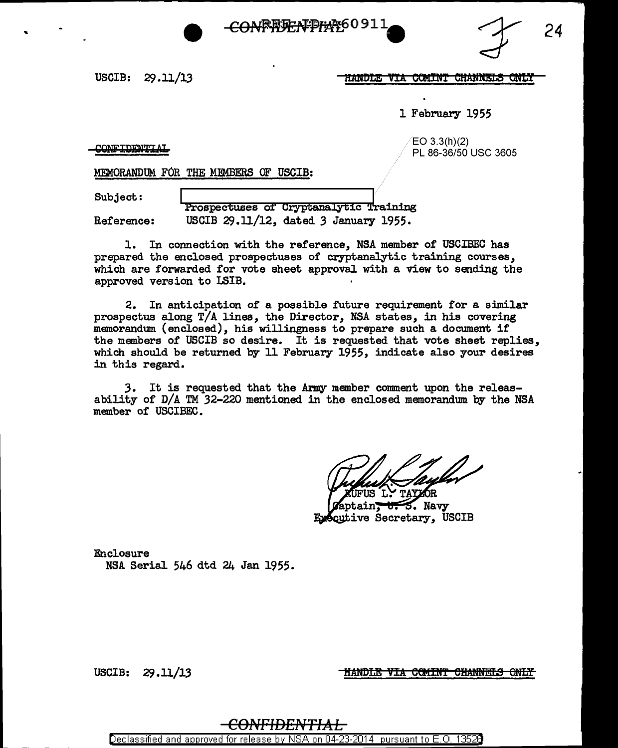



USCIB: 29 .11/13

#### <u>HANDLE VIA COMINT CHANNELS ONLY</u>

1 February 1955

CONFIDENTIAL

EO 3.3(h)(2) PL 86-36/50 USC 3605

MEMORANDUM FOR THE MEMBERS OF USCIB:

..

Subject: |<br>Prospectuses of Cryptanalytic Training Reference: USCIB 29.11/12, dated *3* January 1955.

1. In connection with the reference, NSA member of USCIBEC has prepared the enclosed prospectuses of cryptanalytic training courses, which are forwarded for vote sheet approval with a view to sending the approved version to LSIB.

2. In anticipation of a possible future requirement for a similar prospectus along T/A lines, the Director, NSA states, in his covering memorandmn (enclosed), his willingness to prepare such a document if the members of USCIB so desire. It is requested that vote sheet replies, which should be returned by 11 February 1955, indicate also your desires in this regard.

3. It is requested that the Army member comment upon the releasability of D/A TM 32-220 mentioned in the enclosed memorandum by the NSA member of USCIBEC.

TAYZOR

3. Navy cutive Secretary, USCIB

Enclosure NSA Serial 546 dtd 24 Jan 1955.

USCIB: 29.11/13

HANDLE VIA COMINT CHANNELS ONLY

### <del>CONFIDENTIAL</del>

Declassified and approved for release by NSA on 04-23-2014 pursuant to E. 0. 1352B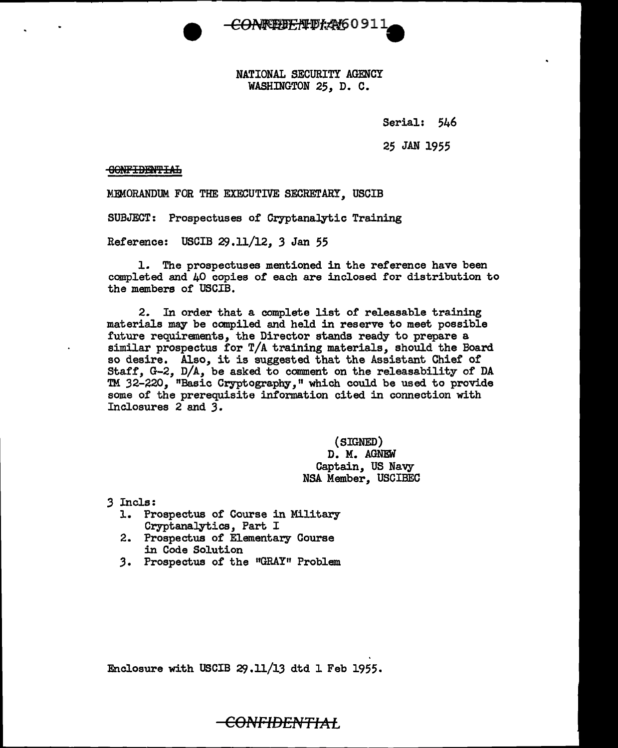

NATIONAL SECURITY AGENCY WASHINGTON 25, D. C.

Serial: 546

25 JAN 1955

60NFIBRff I:Af.

MEMORANDUM. FOR THE EXECUTIVE SECRETARY, USCIB

SUBJECT: Prospectuses of Cryptanalytic Training

Reference: USCIB 29.11/12, 3 Jan 55

1. The prospectuses mentioned in the reference have been completed and 40 copies of each are inclosed for distribution to the members of USCIB.

2. In order that a complete list of releasable training materials may be compiled and held in reserve to meet possible future requirements, the Director stands ready to prepare a. similar prospectus for T/A training materials, should the Board so desire. Also, it is suggested that the Assistant Chief of Staff, G-2, D/A, be asked to comment on the releasability of DA TM 32-220, "Basic Cryptography," which could be used to provide some of the prerequisite information cited in connection with Inclosures 2 and *3.* 

> {SIGNED) D. M. AGNEW Captain, US Navy NSA Member, USCIBEC

*3* Incle:

- l. Prospectus of Course in Military Cryptanalytics, Part I
- 2. Prospectus of Elementary Course in Code Solution
- 3. Prospectus of the "GRAY" Problem

Enclosure with USCIB 29.11/13 dtd l Feb 1955.

<del>CONFIDENTIAI</del>.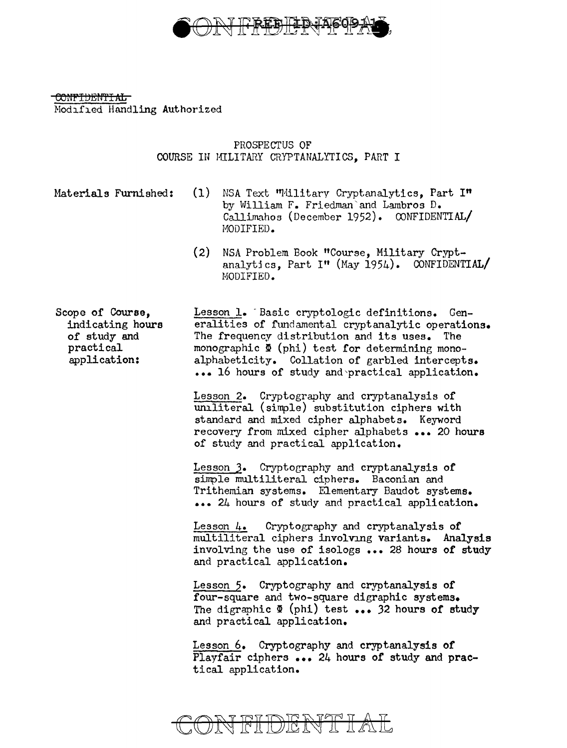

> PROSPECTUS OF COURSE IN MILITARY CRYPTANALITICS, PART I

Materials Furnished: (1) NSA Text "Military Cryptanalytics, Part I" by William F. Friedman'and Lambros D. Callimahos (December 1952). CONFIDENTIAL/ MODIFIED.

> (2) NSA Problem Book "Course, Military Cryptanalytics, Part I" (May 1954). CONFIDENTIAL/ MODIFIED.

Scope of Course, indicating hours of study and practical application: Lesson 1. Basic cryptologic definitions. Generalities of fundamental cryptanalytic operations. The frequency distribution and its uses. The monographic  $\Phi$  (phi) test for determining monoalphabeticity. Collation of garbled intercepts. ••• 16 hours of study and'practical application.

> Lesson 2. Cryptography and cryptanalysis of uniliteral (simple) substitution ciphers with standard and mixed cipher alphabets. Keyword recovery from mixed cipher alphabets ••• 20 hours of study and practical application.

Lesson J. Cryptography and cryptanalysis of simple multiliteral ciphers. Baconian and Trithemian systems. Elementary Baudot systems. ••• 24 hours of study and practical application.

Lesson 4. Cryptography and cryptanalysis of multiliteral ciphers involving variants. Analysis involving the use of isologs ••• 28 hours of study and practical application.

Lesson 5. Cryptography and cryptanalysis of four-square and two-square digraphic systems. The digraphic  $\Phi$  (phi) test ... 32 hours of study and practical application.

Lesson 6. Cryptography and cryptanalysis of Playfair ciphers ... 24 hours of study and practical application.

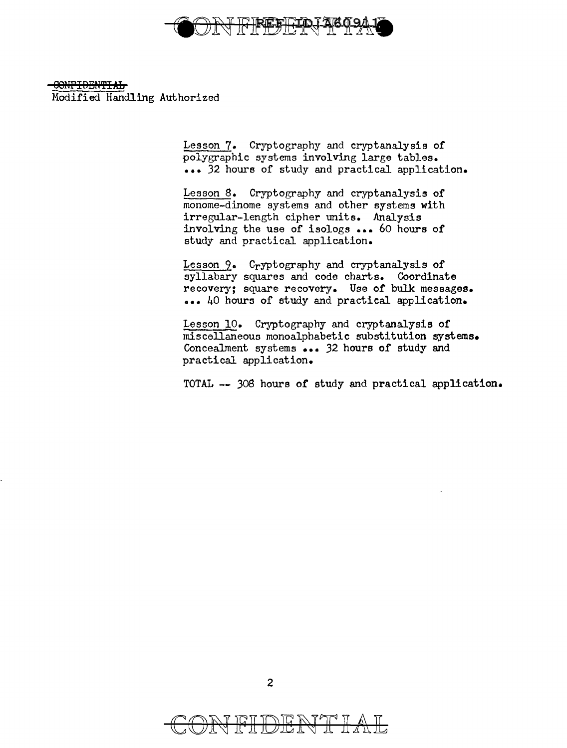

> Lesson 7. Cryptography and cryptanalysis of polygraphic systems involving large tables. ••• 32 hours of study and practical application.

Lesson 8. Cryptography and cryptanalysis of monome-dinome systems and other systems with irregular-length cipher units. Analysis involving the use of isologs ••• 60 hours of study and practical application.

Lesson 9. Cryptography and cryptanalysis of syllabary squares and code charts. Coordinate recovery; square recovery. Use of bulk messages. ••• 40 hours of study and practical application.

Lesson 10. Cryptography and cryptanalysis of miscellaneous monoalphabetic substitution systems. Concealment systems ••• 32 hours of study and practical application.

TOTAL -- 308 hours of study and practical application.

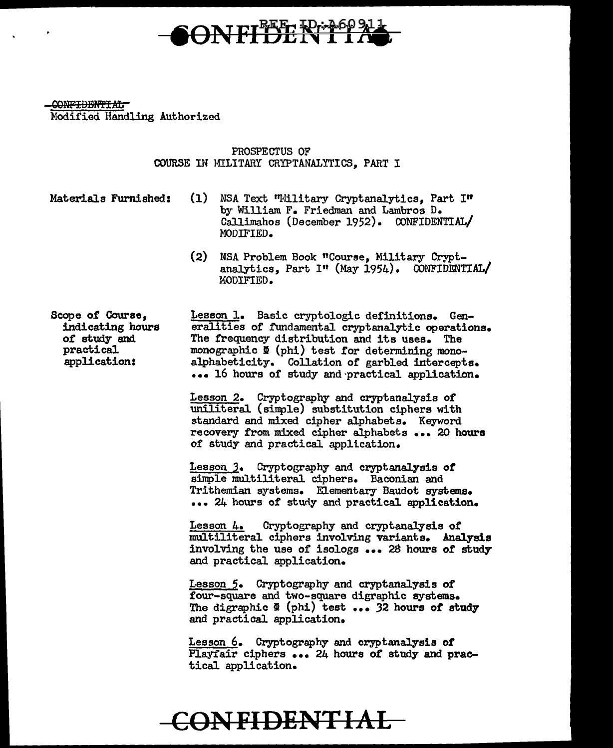

> PROSPECTUS OF COURSE IH MILITARY CRYPTANALYTICS, PART I

Materials Furnished: (1) NSA Text "Hilitary Cryptanalytics, Part I" by William F. Friedman and Lambros D. Callimahos (December 1952). CONFIDENTIAL/ MODIFIED.

> (2) NSA Problem Book "Course, Military Cryptanalytics, Part I" (May 1954). CONFIDENTIAL/ MODIFIED.

Scope of Course, indicating hours *ot* study and practical application:

Lesson l. Basic cryptologic definitions. Generalities of fundamental cryptanalytic operations. The frequency distribution and its uses. The monographic  $\Phi$  (phi) test for determining monoalphabeticity. Collation of garbled intercepts. ••• 16 hours or study and·practical application.

Lesson 2. Cryptography and cryptanalysis or uniliteral (simple) substitution ciphers with standard and mixed cipher alphabets. Keyword recovery from mixed cipher alphabets ••• 20 hours of study and practical application.

Lesson 3. Cryptography and cryptanalysis of simple multiliteral ciphers. Baconian and Trithemian systems. Elementary Baudot systems. ••• 24 hours of study and practical application.

Lesson 4. Cryptography and cryptanalysis of multiliteral ciphers involving variants. Analysis involving the use of isologs ... 28 hours of study and practical application.

Lesson 5. Cryptography and cryptanalysis of four-square and two-square digraphic systems. The digraphic  $\Phi$  (phi) test ... 32 hours of study and practical application.

Lesson 6. Cryptography and cryptanalysis *ot*  Playfair ciphers ... 24 hours of study and practical application.

## **CONFIDENTIAL**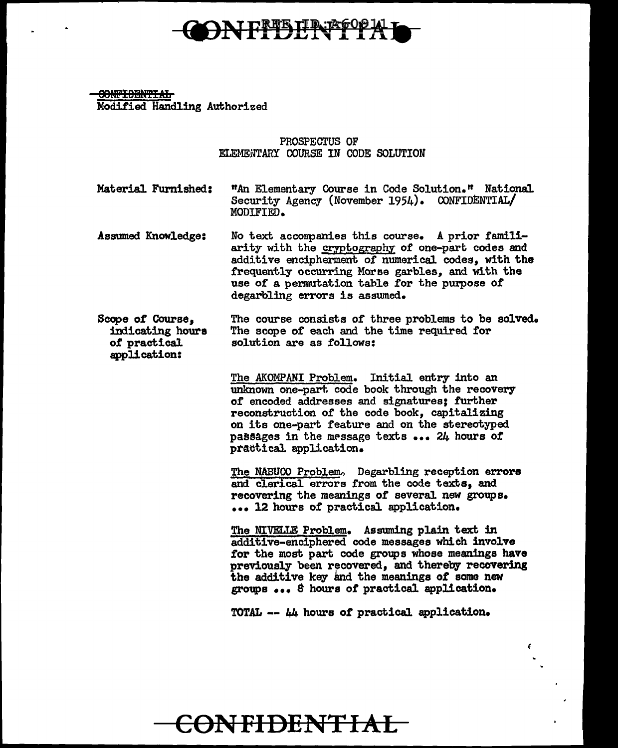

90NPIBBN'fi:Afi Modified. Handling Authorized

> PROSPECTUS OF ELEMENTARY COURSE IN CODE SOLUTION

Material Furnished: "An Elementary Course in Code Solution." National Security Agency (November 1954). CONFIDENTIAL/ MODIFIED.

Assumed Knowledge: No text acconpanies this course. A prior familiarity with the cryptography of one-part codes and additive encipherment of numerical codes, with the frequently occurring Morse garbles, and with the use of a permutation table for the purpose of degarbling errors is assumed.

Scope of Course, indicating houra *ot* practical application: The course consists of three problems to be solved. The scope of each and the time required for solution are as follows:

> The AKOMPANI Problem. Initial entry into an unknown one-part code book through the recovery of encoded addresses and signatures; further reconstruction of the code book, capitalizing on its one-part feature and on the stereotyped passages in the message texts ... 24 hours of practical application.

The NABUCO Problem, Degarbling reception errors and clerical errors from the code texts, and recovering the meanings of several new groups. ... 12 hours of practical application.

The NIVELLE Problem. Assuming plain text in additive-enciphered code messages which involve for the most part code groups whose meanings have previously been recovered, and thereby recovering the additive key lmd. the meanings *ot* some new groups • • • *e* hours *ot* practical application.

TOTAL  $- \mu$ 4 hours of practical application.

**CONFIDENTIAL**